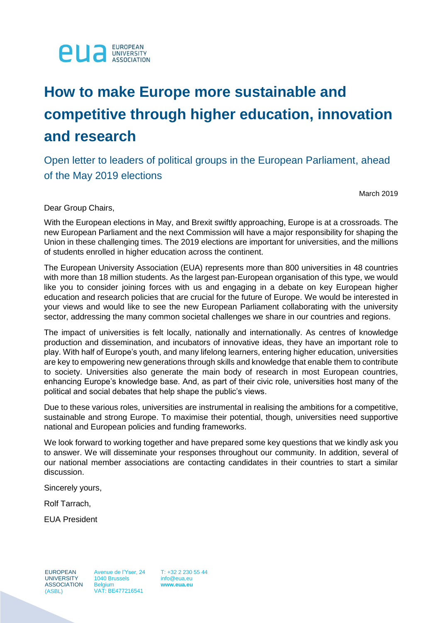

# **How to make Europe more sustainable and competitive through higher education, innovation and research**

Open letter to leaders of political groups in the European Parliament, ahead of the May 2019 elections

March 2019

Dear Group Chairs,

With the European elections in May, and Brexit swiftly approaching, Europe is at a crossroads. The new European Parliament and the next Commission will have a major responsibility for shaping the Union in these challenging times. The 2019 elections are important for universities, and the millions of students enrolled in higher education across the continent.

The European University Association (EUA) represents more than 800 universities in 48 countries with more than 18 million students. As the largest pan-European organisation of this type, we would like you to consider joining forces with us and engaging in a debate on key European higher education and research policies that are crucial for the future of Europe. We would be interested in your views and would like to see the new European Parliament collaborating with the university sector, addressing the many common societal challenges we share in our countries and regions.

The impact of universities is felt locally, nationally and internationally. As centres of knowledge production and dissemination, and incubators of innovative ideas, they have an important role to play. With half of Europe's youth, and many lifelong learners, entering higher education, universities are key to empowering new generations through skills and knowledge that enable them to contribute to society. Universities also generate the main body of research in most European countries, enhancing Europe's knowledge base. And, as part of their civic role, universities host many of the political and social debates that help shape the public's views.

Due to these various roles, universities are instrumental in realising the ambitions for a competitive, sustainable and strong Europe. To maximise their potential, though, universities need supportive national and European policies and funding frameworks.

We look forward to working together and have prepared some key questions that we kindly ask you to answer. We will disseminate your responses throughout our community. In addition, several of our national member associations are contacting candidates in their countries to start a similar discussion.

Sincerely yours,

Rolf Tarrach,

EUA President

EUROPEAN **UNIVERSITY** ASSOCIATION (ASBL)

Avenue de l'Yser, 24 1040 Brussels **Belgium** VAT: BE477216541

T: +32 2 230 55 44 info@eua.eu **www.eua.eu**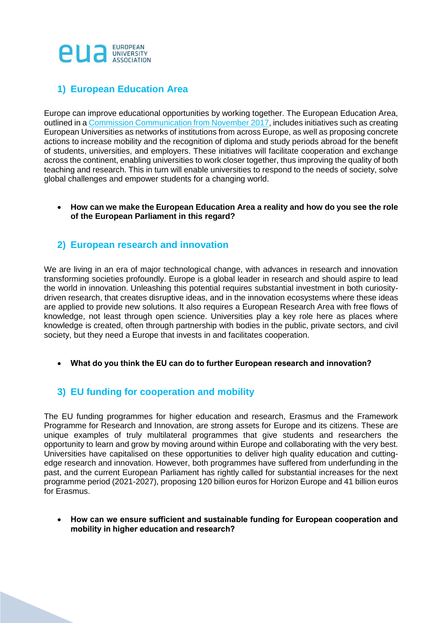

## **1) European Education Area**

Europe can improve educational opportunities by working together. The European Education Area, outlined in a [Commission Communication from November 2017,](https://eur-lex.europa.eu/legal-content/EN/TXT/?uri=CELEX:52018DC0268) includes initiatives such as creating European Universities as networks of institutions from across Europe, as well as proposing concrete actions to increase mobility and the recognition of diploma and study periods abroad for the benefit of students, universities, and employers. These initiatives will facilitate cooperation and exchange across the continent, enabling universities to work closer together, thus improving the quality of both teaching and research. This in turn will enable universities to respond to the needs of society, solve global challenges and empower students for a changing world.

• **How can we make the European Education Area a reality and how do you see the role of the European Parliament in this regard?**

#### **2) European research and innovation**

We are living in an era of major technological change, with advances in research and innovation transforming societies profoundly. Europe is a global leader in research and should aspire to lead the world in innovation. Unleashing this potential requires substantial investment in both curiositydriven research, that creates disruptive ideas, and in the innovation ecosystems where these ideas are applied to provide new solutions. It also requires a European Research Area with free flows of knowledge, not least through open science. Universities play a key role here as places where knowledge is created, often through partnership with bodies in the public, private sectors, and civil society, but they need a Europe that invests in and facilitates cooperation.

• **What do you think the EU can do to further European research and innovation?**

## **3) EU funding for cooperation and mobility**

The EU funding programmes for higher education and research, Erasmus and the Framework Programme for Research and Innovation, are strong assets for Europe and its citizens. These are unique examples of truly multilateral programmes that give students and researchers the opportunity to learn and grow by moving around within Europe and collaborating with the very best. Universities have capitalised on these opportunities to deliver high quality education and cuttingedge research and innovation. However, both programmes have suffered from underfunding in the past, and the current European Parliament has rightly called for substantial increases for the next programme period (2021-2027), proposing 120 billion euros for Horizon Europe and 41 billion euros for Erasmus.

• **How can we ensure sufficient and sustainable funding for European cooperation and mobility in higher education and research?**